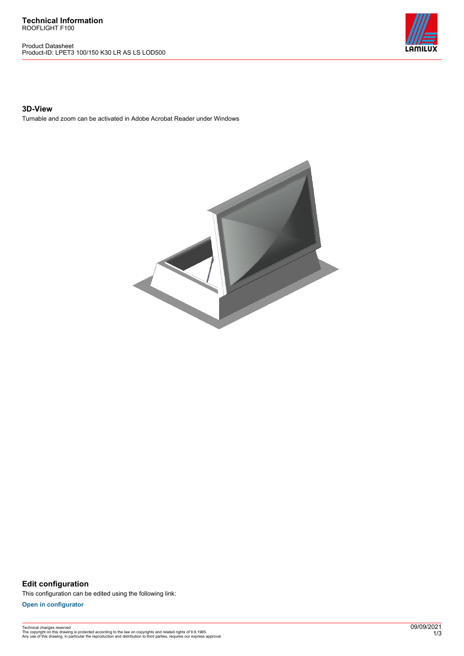Product Datasheet Product-ID: LPET3 100/150 K30 LR AS LS LOD500



## **3D-View**

Turnable and zoom can be activated in Adobe Acrobat Reader under Windows



**Edit configuration** This configuration can be edited using the following link:

**[Open in configurator](https://bimconfig.lamilux.com//?quickcode=ZPPOAM)**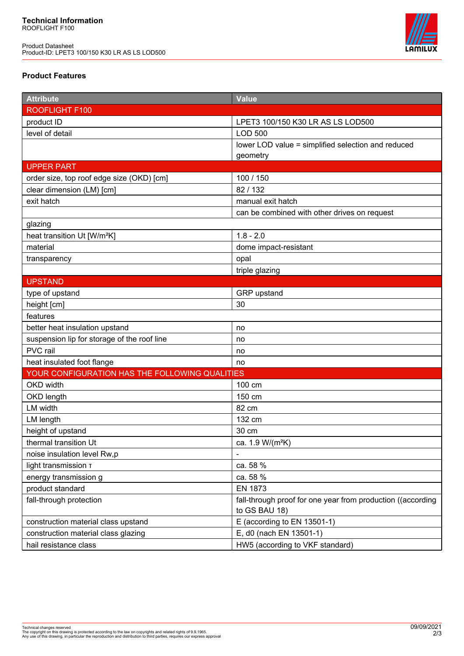Product Datasheet Product-ID: LPET3 100/150 K30 LR AS LS LOD500



## **Product Features**

| <b>Attribute</b>                               | <b>Value</b>                                                |
|------------------------------------------------|-------------------------------------------------------------|
| ROOFLIGHT F100                                 |                                                             |
| product ID                                     | LPET3 100/150 K30 LR AS LS LOD500                           |
| level of detail                                | <b>LOD 500</b>                                              |
|                                                | lower LOD value = simplified selection and reduced          |
|                                                | geometry                                                    |
| <b>UPPER PART</b>                              |                                                             |
| order size, top roof edge size (OKD) [cm]      | 100 / 150                                                   |
| clear dimension (LM) [cm]                      | 82/132                                                      |
| exit hatch                                     | manual exit hatch                                           |
|                                                | can be combined with other drives on request                |
| glazing                                        |                                                             |
| heat transition Ut [W/m <sup>2</sup> K]        | $1.8 - 2.0$                                                 |
| material                                       | dome impact-resistant                                       |
| transparency                                   | opal                                                        |
|                                                | triple glazing                                              |
| <b>UPSTAND</b>                                 |                                                             |
| type of upstand                                | GRP upstand                                                 |
| height [cm]                                    | 30                                                          |
| features                                       |                                                             |
| better heat insulation upstand                 | no                                                          |
| suspension lip for storage of the roof line    | no                                                          |
| PVC rail                                       | no                                                          |
| heat insulated foot flange                     | no                                                          |
| YOUR CONFIGURATION HAS THE FOLLOWING QUALITIES |                                                             |
| OKD width                                      | 100 cm                                                      |
| OKD length                                     | 150 cm                                                      |
| LM width                                       | 82 cm                                                       |
| LM length                                      | 132 cm                                                      |
| height of upstand                              | 30 cm                                                       |
| thermal transition Ut                          | ca. 1.9 W/(m <sup>2</sup> K)                                |
| noise insulation level Rw,p                    |                                                             |
| light transmission T                           | ca. 58 %                                                    |
| energy transmission g                          | ca. 58 %                                                    |
| product standard                               | <b>EN 1873</b>                                              |
| fall-through protection                        | fall-through proof for one year from production ((according |
|                                                | to GS BAU 18)                                               |
| construction material class upstand            | E (according to EN 13501-1)                                 |
| construction material class glazing            | E, d0 (nach EN 13501-1)                                     |
| hail resistance class                          | HW5 (according to VKF standard)                             |